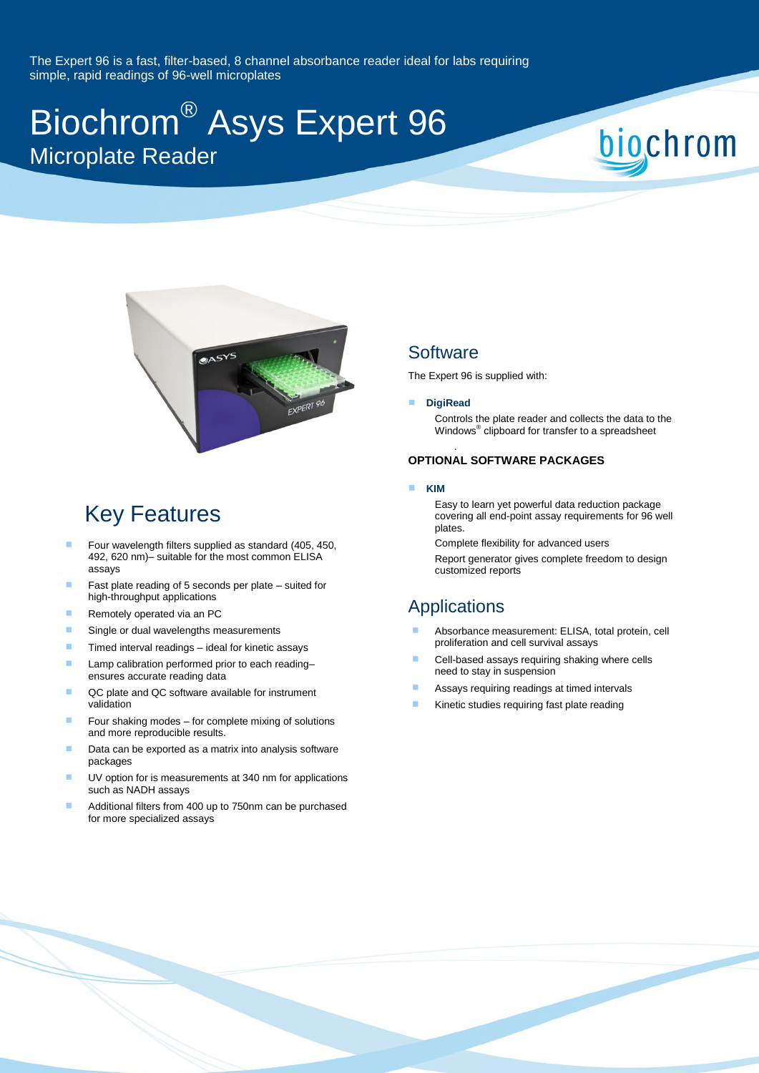The Expert 96 is a fast, filter-based, 8 channel absorbance reader ideal for labs requiring simple, rapid readings of 96-well microplates

# Biochrom® Asys Expert 96 Microplate Reader



# Key Features

- Four wavelength filters supplied as standard (405, 450, 492, 620 nm)– suitable for the most common ELISA assays
- Fast plate reading of 5 seconds per plate suited for high-throughput applications
- Remotely operated via an PC
- Single or dual wavelengths measurements
- $\blacksquare$  Timed interval readings ideal for kinetic assays
- Lamp calibration performed prior to each reading– ensures accurate reading data
- QC plate and QC software available for instrument validation
- Four shaking modes for complete mixing of solutions and more reproducible results.
- Data can be exported as a matrix into analysis software packages
- UV option for is measurements at 340 nm for applications such as NADH assays
- Additional filters from 400 up to 750nm can be purchased for more specialized assays

### **Software**

The Expert 96 is supplied with:

#### **DigiRead**

.

Controls the plate reader and collects the data to the Windows® clipboard for transfer to a spreadsheet

biochrom

#### **OPTIONAL SOFTWARE PACKAGES**

#### **KIM**

Easy to learn yet powerful data reduction package covering all end-point assay requirements for 96 well plates.

Complete flexibility for advanced users Report generator gives complete freedom to design

customized reports

## Applications

- Absorbance measurement: ELISA, total protein, cell proliferation and cell survival assays
- Cell-based assays requiring shaking where cells need to stay in suspension
- Assays requiring readings at timed intervals
- Kinetic studies requiring fast plate reading